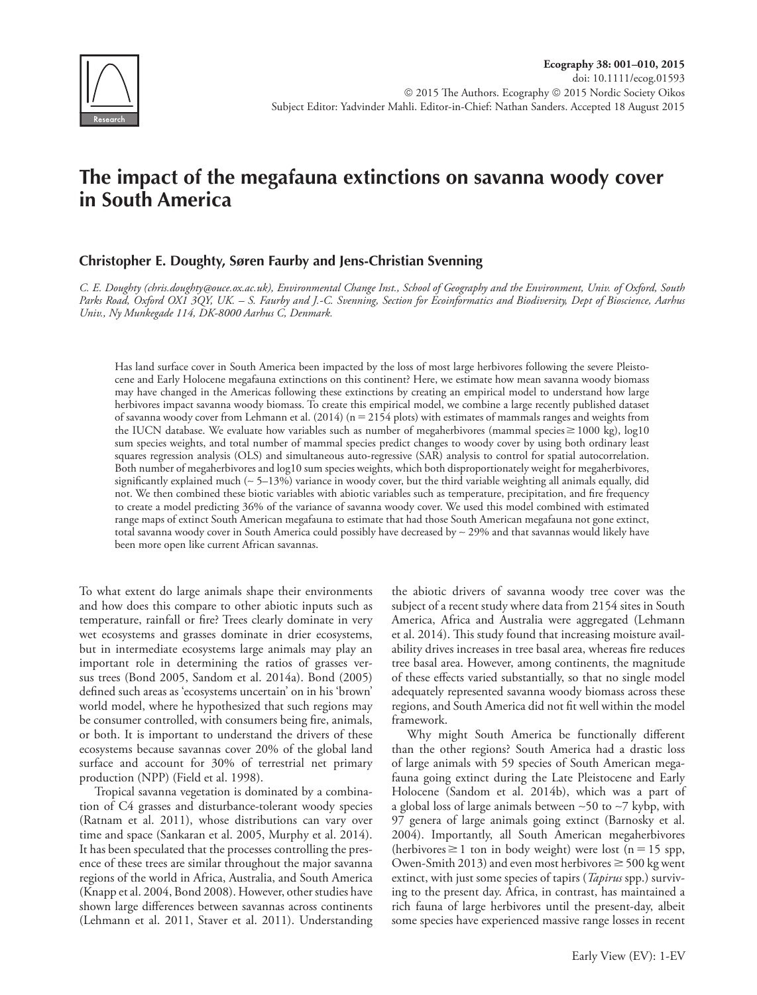

# **The impact of the megafauna extinctions on savanna woody cover in South America**

# **Christopher E. Doughty, Søren Faurby and Jens-Christian Svenning**

 *C. E. Doughty (chris.doughty@ouce.ox.ac.uk), Environmental Change Inst., School of Geography and the Environment, Univ. of Oxford, South Parks Road, Oxford OX1 3QY, UK. – S. Faurby and J.-C. Svenning, Section for Ecoinformatics and Biodiversity, Dept of Bioscience, Aarhus Univ., Ny Munkegade 114, DK-8000 Aarhus C, Denmark.* 

 Has land surface cover in South America been impacted by the loss of most large herbivores following the severe Pleistocene and Early Holocene megafauna extinctions on this continent? Here, we estimate how mean savanna woody biomass may have changed in the Americas following these extinctions by creating an empirical model to understand how large herbivores impact savanna woody biomass. To create this empirical model, we combine a large recently published dataset of savanna woody cover from Lehmann et al. (2014) (n 2154 plots) with estimates of mammals ranges and weights from the IUCN database. We evaluate how variables such as number of megaherbivores (mammal species  $\geq$  1000 kg), log10 sum species weights, and total number of mammal species predict changes to woody cover by using both ordinary least squares regression analysis (OLS) and simultaneous auto-regressive (SAR) analysis to control for spatial autocorrelation. Both number of megaherbivores and log10 sum species weights, which both disproportionately weight for megaherbivores, significantly explained much (~5-13%) variance in woody cover, but the third variable weighting all animals equally, did not. We then combined these biotic variables with abiotic variables such as temperature, precipitation, and fire frequency to create a model predicting 36% of the variance of savanna woody cover. We used this model combined with estimated range maps of extinct South American megafauna to estimate that had those South American megafauna not gone extinct, total savanna woody cover in South America could possibly have decreased by ∼ 29% and that savannas would likely have been more open like current African savannas.

 To what extent do large animals shape their environments and how does this compare to other abiotic inputs such as temperature, rainfall or fire? Trees clearly dominate in very wet ecosystems and grasses dominate in drier ecosystems, but in intermediate ecosystems large animals may play an important role in determining the ratios of grasses versus trees (Bond 2005, Sandom et al. 2014a). Bond (2005) defined such areas as 'ecosystems uncertain' on in his 'brown' world model, where he hypothesized that such regions may be consumer controlled, with consumers being fire, animals, or both. It is important to understand the drivers of these ecosystems because savannas cover 20% of the global land surface and account for 30% of terrestrial net primary production (NPP) (Field et al. 1998).

 Tropical savanna vegetation is dominated by a combination of C4 grasses and disturbance-tolerant woody species (Ratnam et al. 2011), whose distributions can vary over time and space (Sankaran et al. 2005, Murphy et al. 2014). It has been speculated that the processes controlling the presence of these trees are similar throughout the major savanna regions of the world in Africa, Australia, and South America (Knapp et al. 2004, Bond 2008). However, other studies have shown large differences between savannas across continents (Lehmann et al. 2011, Staver et al. 2011). Understanding the abiotic drivers of savanna woody tree cover was the subject of a recent study where data from 2154 sites in South America, Africa and Australia were aggregated (Lehmann et al. 2014). This study found that increasing moisture availability drives increases in tree basal area, whereas fire reduces tree basal area. However, among continents, the magnitude of these effects varied substantially, so that no single model adequately represented savanna woody biomass across these regions, and South America did not fit well within the model framework.

Why might South America be functionally different than the other regions? South America had a drastic loss of large animals with 59 species of South American megafauna going extinct during the Late Pleistocene and Early Holocene (Sandom et al. 2014b), which was a part of a global loss of large animals between ∼50 to ∼7 kybp, with 97 genera of large animals going extinct (Barnosky et al. 2004). Importantly, all South American megaherbivores  $(herbivores \ge 1$  ton in body weight) were lost  $(n = 15$  spp, Owen-Smith 2013) and even most herbivores  $\geq$  500 kg went extinct, with just some species of tapirs ( *Tapirus* spp.) surviving to the present day. Africa, in contrast, has maintained a rich fauna of large herbivores until the present-day, albeit some species have experienced massive range losses in recent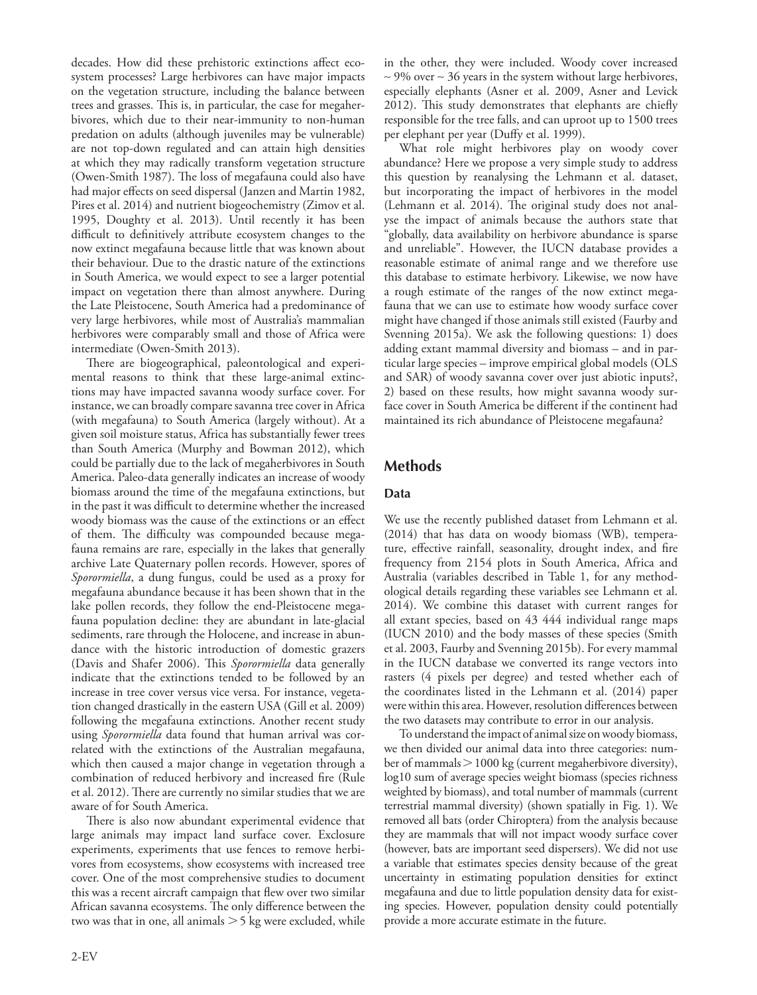decades. How did these prehistoric extinctions affect ecosystem processes? Large herbivores can have major impacts on the vegetation structure, including the balance between trees and grasses. This is, in particular, the case for megaherbivores, which due to their near-immunity to non-human predation on adults (although juveniles may be vulnerable) are not top-down regulated and can attain high densities at which they may radically transform vegetation structure (Owen-Smith 1987). The loss of megafauna could also have had major effects on seed dispersal (Janzen and Martin 1982, Pires et al. 2014) and nutrient biogeochemistry (Zimov et al. 1995, Doughty et al. 2013). Until recently it has been difficult to definitively attribute ecosystem changes to the now extinct megafauna because little that was known about their behaviour. Due to the drastic nature of the extinctions in South America, we would expect to see a larger potential impact on vegetation there than almost anywhere. During the Late Pleistocene, South America had a predominance of very large herbivores, while most of Australia's mammalian herbivores were comparably small and those of Africa were intermediate (Owen-Smith 2013).

There are biogeographical, paleontological and experimental reasons to think that these large-animal extinctions may have impacted savanna woody surface cover. For instance, we can broadly compare savanna tree cover in Africa (with megafauna) to South America (largely without). At a given soil moisture status, Africa has substantially fewer trees than South America (Murphy and Bowman 2012), which could be partially due to the lack of megaherbivores in South America. Paleo-data generally indicates an increase of woody biomass around the time of the megafauna extinctions, but in the past it was difficult to determine whether the increased woody biomass was the cause of the extinctions or an effect of them. The difficulty was compounded because megafauna remains are rare, especially in the lakes that generally archive Late Quaternary pollen records. However, spores of *Sporormiella* , a dung fungus, could be used as a proxy for megafauna abundance because it has been shown that in the lake pollen records, they follow the end-Pleistocene megafauna population decline: they are abundant in late-glacial sediments, rare through the Holocene, and increase in abundance with the historic introduction of domestic grazers (Davis and Shafer 2006). This *Sporormiella* data generally indicate that the extinctions tended to be followed by an increase in tree cover versus vice versa. For instance, vegetation changed drastically in the eastern USA (Gill et al. 2009) following the megafauna extinctions. Another recent study using *Sporormiella* data found that human arrival was correlated with the extinctions of the Australian megafauna, which then caused a major change in vegetation through a combination of reduced herbivory and increased fire (Rule et al. 2012). There are currently no similar studies that we are aware of for South America.

There is also now abundant experimental evidence that large animals may impact land surface cover. Exclosure experiments, experiments that use fences to remove herbivores from ecosystems, show ecosystems with increased tree cover. One of the most comprehensive studies to document this was a recent aircraft campaign that flew over two similar African savanna ecosystems. The only difference between the two was that in one, all animals  $>$  5 kg were excluded, while in the other, they were included. Woody cover increased ∼ 9% over ∼ 36 years in the system without large herbivores, especially elephants (Asner et al. 2009, Asner and Levick 2012). This study demonstrates that elephants are chiefly responsible for the tree falls, and can uproot up to 1500 trees per elephant per year (Duffy et al. 1999).

 What role might herbivores play on woody cover abundance? Here we propose a very simple study to address this question by reanalysing the Lehmann et al. dataset, but incorporating the impact of herbivores in the model (Lehmann et al. 2014). The original study does not analyse the impact of animals because the authors state that " globally, data availability on herbivore abundance is sparse and unreliable". However, the IUCN database provides a reasonable estimate of animal range and we therefore use this database to estimate herbivory. Likewise, we now have a rough estimate of the ranges of the now extinct megafauna that we can use to estimate how woody surface cover might have changed if those animals still existed (Faurby and Svenning 2015a). We ask the following questions: 1) does adding extant mammal diversity and biomass – and in particular large species – improve empirical global models (OLS and SAR) of woody savanna cover over just abiotic inputs?, 2) based on these results, how might savanna woody surface cover in South America be different if the continent had maintained its rich abundance of Pleistocene megafauna?

## **Methods**

### **Data**

 We use the recently published dataset from Lehmann et al. (2014) that has data on woody biomass (WB), temperature, effective rainfall, seasonality, drought index, and fire frequency from 2154 plots in South America, Africa and Australia (variables described in Table 1, for any methodological details regarding these variables see Lehmann et al. 2014). We combine this dataset with current ranges for all extant species, based on 43 444 individual range maps (IUCN 2010) and the body masses of these species (Smith et al. 2003, Faurby and Svenning 2015b). For every mammal in the IUCN database we converted its range vectors into rasters (4 pixels per degree) and tested whether each of the coordinates listed in the Lehmann et al. (2014) paper were within this area. However, resolution differences between the two datasets may contribute to error in our analysis.

 To understand the impact of animal size on woody biomass, we then divided our animal data into three categories: number of mammals  $> 1000$  kg (current megaherbivore diversity), log10 sum of average species weight biomass (species richness weighted by biomass), and total number of mammals (current terrestrial mammal diversity) (shown spatially in Fig. 1). We removed all bats (order Chiroptera) from the analysis because they are mammals that will not impact woody surface cover (however, bats are important seed dispersers). We did not use a variable that estimates species density because of the great uncertainty in estimating population densities for extinct megafauna and due to little population density data for existing species. However, population density could potentially provide a more accurate estimate in the future.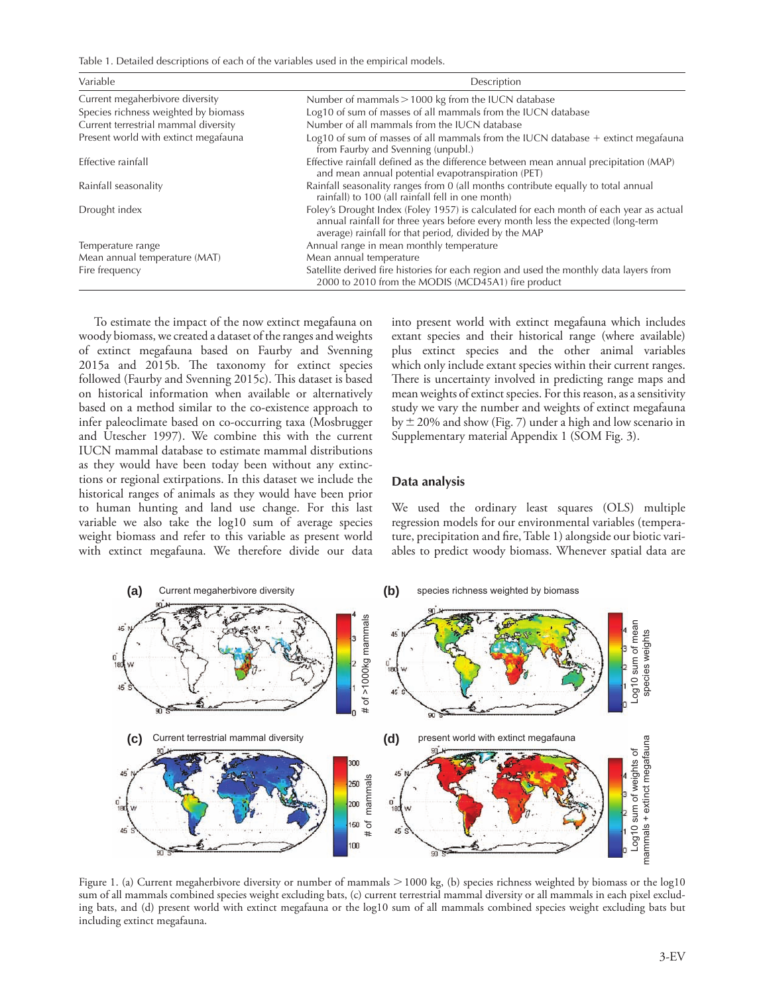Table 1. Detailed descriptions of each of the variables used in the empirical models.

| Variable                             | Description                                                                                                                                                                                                                        |  |  |  |
|--------------------------------------|------------------------------------------------------------------------------------------------------------------------------------------------------------------------------------------------------------------------------------|--|--|--|
| Current megaherbivore diversity      | Number of mammals $> 1000$ kg from the IUCN database                                                                                                                                                                               |  |  |  |
| Species richness weighted by biomass | Log10 of sum of masses of all mammals from the IUCN database                                                                                                                                                                       |  |  |  |
| Current terrestrial mammal diversity | Number of all mammals from the IUCN database                                                                                                                                                                                       |  |  |  |
| Present world with extinct megafauna | Log10 of sum of masses of all mammals from the IUCN database $+$ extinct megafauna<br>from Faurby and Svenning (unpubl.)                                                                                                           |  |  |  |
| Effective rainfall                   | Effective rainfall defined as the difference between mean annual precipitation (MAP)<br>and mean annual potential evapotranspiration (PET)                                                                                         |  |  |  |
| Rainfall seasonality                 | Rainfall seasonality ranges from 0 (all months contribute equally to total annual<br>rainfall) to 100 (all rainfall fell in one month)                                                                                             |  |  |  |
| Drought index                        | Foley's Drought Index (Foley 1957) is calculated for each month of each year as actual<br>annual rainfall for three years before every month less the expected (long-term<br>average) rainfall for that period, divided by the MAP |  |  |  |
| Temperature range                    | Annual range in mean monthly temperature                                                                                                                                                                                           |  |  |  |
| Mean annual temperature (MAT)        | Mean annual temperature                                                                                                                                                                                                            |  |  |  |
| Fire frequency                       | Satellite derived fire histories for each region and used the monthly data layers from<br>2000 to 2010 from the MODIS (MCD45A1) fire product                                                                                       |  |  |  |

 To estimate the impact of the now extinct megafauna on woody biomass, we created a dataset of the ranges and weights of extinct megafauna based on Faurby and Svenning 2015a and 2015b. The taxonomy for extinct species followed (Faurby and Svenning 2015c). This dataset is based on historical information when available or alternatively based on a method similar to the co-existence approach to infer paleoclimate based on co-occurring taxa (Mosbrugger and Utescher 1997). We combine this with the current IUCN mammal database to estimate mammal distributions as they would have been today been without any extinctions or regional extirpations. In this dataset we include the historical ranges of animals as they would have been prior to human hunting and land use change. For this last variable we also take the log10 sum of average species weight biomass and refer to this variable as present world with extinct megafauna. We therefore divide our data into present world with extinct megafauna which includes extant species and their historical range (where available) plus extinct species and the other animal variables which only include extant species within their current ranges. There is uncertainty involved in predicting range maps and mean weights of extinct species. For this reason, as a sensitivity study we vary the number and weights of extinct megafauna by  $\pm$  20% and show (Fig. 7) under a high and low scenario in Supplementary material Appendix 1 (SOM Fig. 3).

#### **Data analysis**

 We used the ordinary least squares (OLS) multiple regression models for our environmental variables (temperature, precipitation and fire, Table 1) alongside our biotic variables to predict woody biomass. Whenever spatial data are



Figure 1. (a) Current megaherbivore diversity or number of mammals  $>$  1000 kg, (b) species richness weighted by biomass or the log10 sum of all mammals combined species weight excluding bats, (c) current terrestrial mammal diversity or all mammals in each pixel excluding bats, and (d) present world with extinct megafauna or the log10 sum of all mammals combined species weight excluding bats but including extinct megafauna.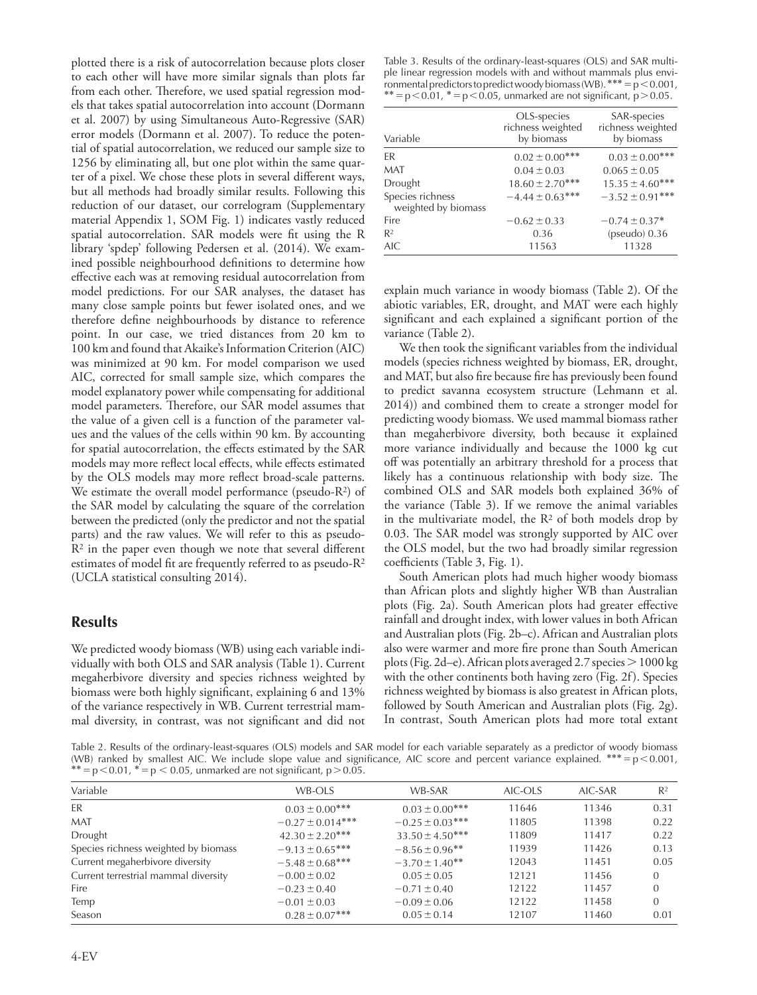plotted there is a risk of autocorrelation because plots closer to each other will have more similar signals than plots far from each other. Therefore, we used spatial regression models that takes spatial autocorrelation into account (Dormann et al. 2007) by using Simultaneous Auto-Regressive (SAR) error models (Dormann et al. 2007). To reduce the potential of spatial autocorrelation, we reduced our sample size to 1256 by eliminating all, but one plot within the same quarter of a pixel. We chose these plots in several different ways, but all methods had broadly similar results. Following this reduction of our dataset, our correlogram (Supplementary material Appendix 1, SOM Fig. 1) indicates vastly reduced spatial autocorrelation. SAR models were fit using the R library 'spdep' following Pedersen et al. (2014). We examined possible neighbourhood definitions to determine how effective each was at removing residual autocorrelation from model predictions. For our SAR analyses, the dataset has many close sample points but fewer isolated ones, and we therefore define neighbourhoods by distance to reference point. In our case, we tried distances from 20 km to 100 km and found that Akaike's Information Criterion (AIC) was minimized at 90 km. For model comparison we used AIC, corrected for small sample size, which compares the model explanatory power while compensating for additional model parameters. Therefore, our SAR model assumes that the value of a given cell is a function of the parameter values and the values of the cells within 90 km. By accounting for spatial autocorrelation, the effects estimated by the SAR models may more reflect local effects, while effects estimated by the OLS models may more reflect broad-scale patterns. We estimate the overall model performance (pseudo- $R<sup>2</sup>$ ) of the SAR model by calculating the square of the correlation between the predicted (only the predictor and not the spatial parts) and the raw values. We will refer to this as pseudo- $R<sup>2</sup>$  in the paper even though we note that several different estimates of model fit are frequently referred to as pseudo- $R<sup>2</sup>$ (UCLA statistical consulting 2014).

## **Results**

 We predicted woody biomass (WB) using each variable individually with both OLS and SAR analysis (Table 1). Current megaherbivore diversity and species richness weighted by biomass were both highly significant, explaining 6 and 13% of the variance respectively in WB. Current terrestrial mammal diversity, in contrast, was not significant and did not

Table 3. Results of the ordinary-least-squares (OLS) and SAR multiple linear regression models with and without mammals plus environmental predictors to predict woody biomass (WB). \*\*\*  $= p < 0.001$ , \*\*\*  $= p < 0.01$ , \*  $= p < 0.05$ , unmarked are not significant, p > 0.05.

| Variable                                | OLS-species<br>richness weighted<br>by biomass | SAR-species<br>richness weighted<br>by biomass |  |
|-----------------------------------------|------------------------------------------------|------------------------------------------------|--|
| FR                                      | $0.02 \pm 0.00$ ***                            | $0.03 \pm 0.00$ ***                            |  |
| MAT                                     | $0.04 \pm 0.03$                                | $0.065 \pm 0.05$                               |  |
| Drought                                 | $18.60 \pm 2.70***$                            | $15.35 \pm 4.60***$                            |  |
| Species richness<br>weighted by biomass | $-4.44 \pm 0.63$ ***                           | $-3.52 \pm 0.91***$                            |  |
| Fire                                    | $-0.62 \pm 0.33$                               | $-0.74 \pm 0.37$ <sup>*</sup>                  |  |
| R <sup>2</sup>                          | 0.36                                           | $(pseudo)$ 0.36                                |  |
| AIC                                     | 11563                                          | 11328                                          |  |

explain much variance in woody biomass (Table 2). Of the abiotic variables, ER, drought, and MAT were each highly significant and each explained a significant portion of the variance (Table 2).

We then took the significant variables from the individual models (species richness weighted by biomass, ER, drought, and MAT, but also fire because fire has previously been found to predict savanna ecosystem structure (Lehmann et al. 2014)) and combined them to create a stronger model for predicting woody biomass. We used mammal biomass rather than megaherbivore diversity, both because it explained more variance individually and because the 1000 kg cut off was potentially an arbitrary threshold for a process that likely has a continuous relationship with body size. The combined OLS and SAR models both explained 36% of the variance (Table 3). If we remove the animal variables in the multivariate model, the  $R<sup>2</sup>$  of both models drop by 0.03. The SAR model was strongly supported by AIC over the OLS model, but the two had broadly similar regression coefficients (Table 3, Fig. 1).

 South American plots had much higher woody biomass than African plots and slightly higher WB than Australian plots (Fig. 2a). South American plots had greater effective rainfall and drought index, with lower values in both African and Australian plots (Fig. 2b-c). African and Australian plots also were warmer and more fire prone than South American plots (Fig. 2d-e). African plots averaged 2.7 species  $> 1000 \text{ kg}$ with the other continents both having zero (Fig. 2f). Species richness weighted by biomass is also greatest in African plots, followed by South American and Australian plots (Fig. 2g). In contrast, South American plots had more total extant

Table 2. Results of the ordinary-least-squares (OLS) models and SAR model for each variable separately as a predictor of woody biomass (WB) ranked by smallest AIC. We include slope value and significance, AIC score and percent variance explained. \*\*\* =  $p$  < 0.001, \* =  $p$  < 0.05, unmarked are not significant,  $p$  > 0.05.

| Variable                             | WB-OLS               | WB-SAR                         | AIC-OLS | AIC-SAR | R <sup>2</sup> |
|--------------------------------------|----------------------|--------------------------------|---------|---------|----------------|
| ER                                   | $0.03 \pm 0.00$ ***  | $0.03 \pm 0.00$ ***            | 11646   | 11346   | 0.31           |
| <b>MAT</b>                           | $-0.27 \pm 0.014***$ | $-0.25 \pm 0.03$ ***           | 11805   | 11398   | 0.22           |
| Drought                              | $42.30 \pm 2.20$ *** | $33.50 \pm 4.50***$            | 11809   | 11417   | 0.22           |
| Species richness weighted by biomass | $-9.13 \pm 0.65***$  | $-8.56 \pm 0.96$ **            | 11939   | 11426   | 0.13           |
| Current megaherbivore diversity      | $-5.48 \pm 0.68$ *** | $-3.70 \pm 1.40$ <sup>**</sup> | 12043   | 11451   | 0.05           |
| Current terrestrial mammal diversity | $-0.00 \pm 0.02$     | $0.05 \pm 0.05$                | 12121   | 11456   | $\Omega$       |
| Fire                                 | $-0.23 \pm 0.40$     | $-0.71 \pm 0.40$               | 12122   | 11457   | $\Omega$       |
| Temp                                 | $-0.01 \pm 0.03$     | $-0.09 \pm 0.06$               | 12122   | 11458   | $\Omega$       |
| Season                               | $0.28 \pm 0.07***$   | $0.05 \pm 0.14$                | 12107   | 11460   | 0.01           |
|                                      |                      |                                |         |         |                |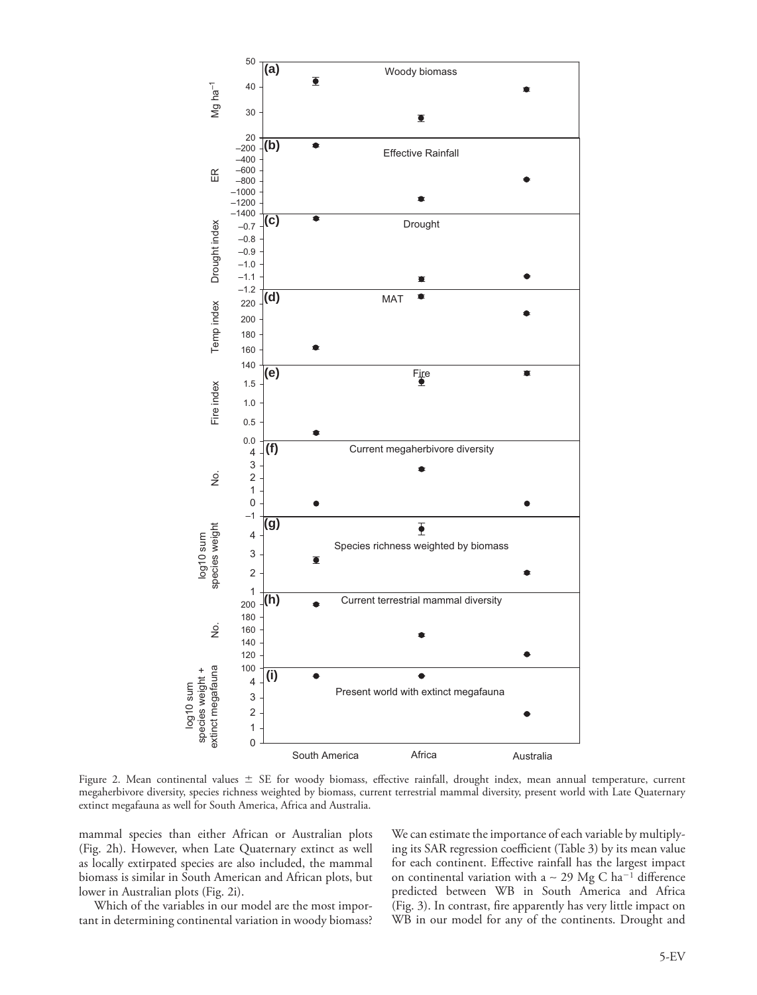

Figure 2. Mean continental values  $\pm$  SE for woody biomass, effective rainfall, drought index, mean annual temperature, current megaherbivore diversity, species richness weighted by biomass, current terrestrial mammal diversity, present world with Late Quaternary extinct megafauna as well for South America, Africa and Australia.

mammal species than either African or Australian plots (Fig. 2h). However, when Late Quaternary extinct as well as locally extirpated species are also included, the mammal biomass is similar in South American and African plots, but lower in Australian plots (Fig. 2i).

 Which of the variables in our model are the most important in determining continental variation in woody biomass? We can estimate the importance of each variable by multiplying its SAR regression coefficient (Table 3) by its mean value for each continent. Effective rainfall has the largest impact on continental variation with a ~ 29 Mg C ha<sup>-1</sup> difference predicted between WB in South America and Africa (Fig. 3). In contrast, fire apparently has very little impact on WB in our model for any of the continents. Drought and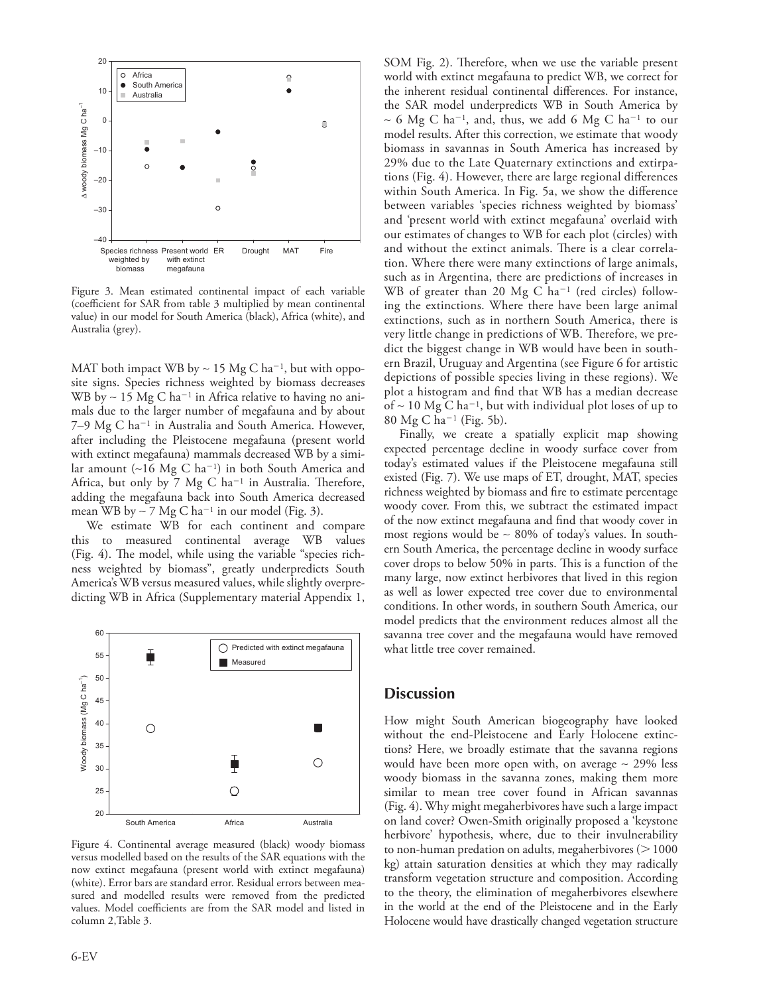

 Figure 3. Mean estimated continental impact of each variable (coefficient for SAR from table 3 multiplied by mean continental value) in our model for South America (black), Africa (white), and Australia (grey).

MAT both impact WB by ~ 15 Mg C ha<sup>-1</sup>, but with opposite signs. Species richness weighted by biomass decreases WB by ~ 15 Mg C ha<sup>-1</sup> in Africa relative to having no animals due to the larger number of megafauna and by about 7-9 Mg C ha<sup>-1</sup> in Australia and South America. However, after including the Pleistocene megafauna (present world with extinct megafauna) mammals decreased WB by a similar amount (~16 Mg C ha<sup>-1</sup>) in both South America and Africa, but only by  $7$  Mg C ha<sup>-1</sup> in Australia. Therefore, adding the megafauna back into South America decreased mean WB by  $\sim$  7 Mg C ha<sup>-1</sup> in our model (Fig. 3).

 We estimate WB for each continent and compare this to measured continental average WB values (Fig. 4). The model, while using the variable "species richness weighted by biomass", greatly underpredicts South America's WB versus measured values, while slightly overpredicting WB in Africa (Supplementary material Appendix 1,



 Figure 4. Continental average measured (black) woody biomass versus modelled based on the results of the SAR equations with the now extinct megafauna (present world with extinct megafauna) (white). Error bars are standard error. Residual errors between measured and modelled results were removed from the predicted values. Model coefficients are from the SAR model and listed in column 2,Table 3.

SOM Fig. 2). Therefore, when we use the variable present world with extinct megafauna to predict WB, we correct for the inherent residual continental differences. For instance, the SAR model underpredicts WB in South America by ~ 6 Mg C ha<sup>-1</sup>, and, thus, we add 6 Mg C ha<sup>-1</sup> to our model results. After this correction, we estimate that woody biomass in savannas in South America has increased by 29% due to the Late Quaternary extinctions and extirpations (Fig. 4). However, there are large regional differences within South America. In Fig. 5a, we show the difference between variables 'species richness weighted by biomass' and 'present world with extinct megafauna' overlaid with our estimates of changes to WB for each plot (circles) with and without the extinct animals. There is a clear correlation. Where there were many extinctions of large animals, such as in Argentina, there are predictions of increases in WB of greater than 20 Mg C ha<sup>-1</sup> (red circles) following the extinctions. Where there have been large animal extinctions, such as in northern South America, there is very little change in predictions of WB. Therefore, we predict the biggest change in WB would have been in southern Brazil, Uruguay and Argentina (see Figure 6 for artistic depictions of possible species living in these regions). We plot a histogram and find that WB has a median decrease of ~ 10 Mg C ha<sup>-1</sup>, but with individual plot loses of up to 80 Mg C ha<sup>-1</sup> (Fig. 5b).

 Finally, we create a spatially explicit map showing expected percentage decline in woody surface cover from today's estimated values if the Pleistocene megafauna still existed (Fig. 7). We use maps of ET, drought, MAT, species richness weighted by biomass and fire to estimate percentage woody cover. From this, we subtract the estimated impact of the now extinct megafauna and find that woody cover in most regions would be ~ 80% of today's values. In southern South America, the percentage decline in woody surface cover drops to below 50% in parts. This is a function of the many large, now extinct herbivores that lived in this region as well as lower expected tree cover due to environmental conditions. In other words, in southern South America, our model predicts that the environment reduces almost all the savanna tree cover and the megafauna would have removed what little tree cover remained.

## **Discussion**

 How might South American biogeography have looked without the end-Pleistocene and Early Holocene extinctions? Here, we broadly estimate that the savanna regions would have been more open with, on average ∼ 29% less woody biomass in the savanna zones, making them more similar to mean tree cover found in African savannas (Fig. 4). Why might megaherbivores have such a large impact on land cover? Owen-Smith originally proposed a 'keystone herbivore' hypothesis, where, due to their invulnerability to non-human predation on adults, megaherbivores ( $>1000$ kg) attain saturation densities at which they may radically transform vegetation structure and composition. According to the theory, the elimination of megaherbivores elsewhere in the world at the end of the Pleistocene and in the Early Holocene would have drastically changed vegetation structure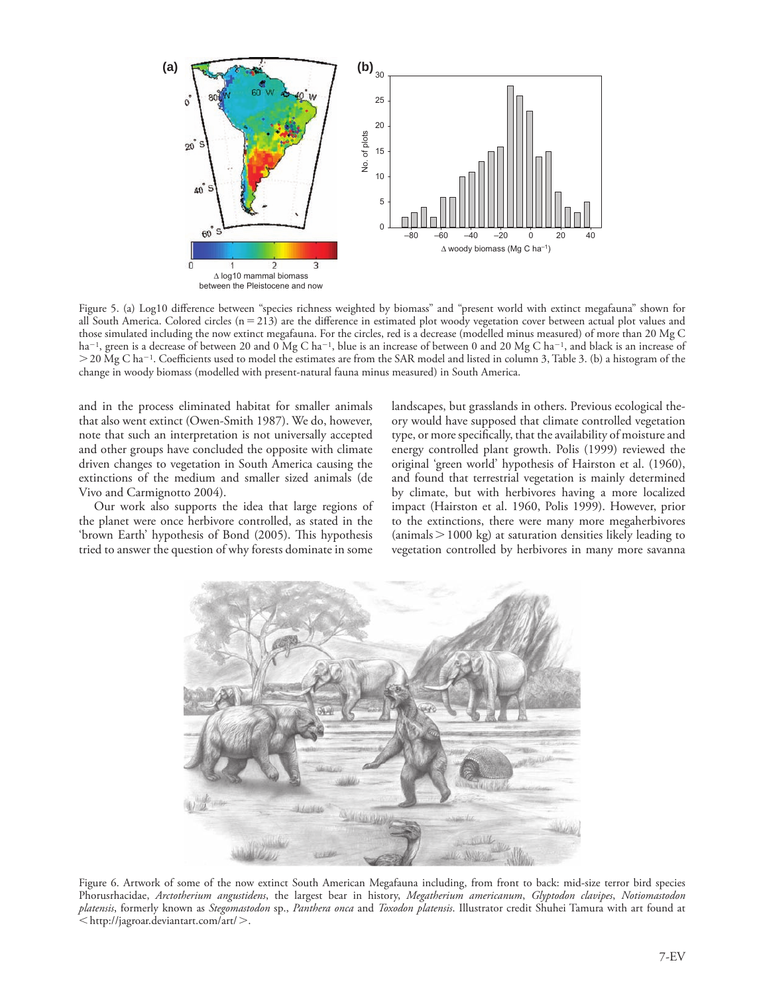

Figure 5. (a) Log10 difference between "species richness weighted by biomass" and "present world with extinct megafauna" shown for all South America. Colored circles ( $n = 213$ ) are the difference in estimated plot woody vegetation cover between actual plot values and those simulated including the now extinct megafauna. For the circles, red is a decrease (modelled minus measured) of more than 20 Mg C  $ha^{-1}$ , green is a decrease of between 20 and 0 Mg C ha<sup>-1</sup>, blue is an increase of between 0 and 20 Mg C ha<sup>-1</sup>, and black is an increase of  $>$  20 Mg C ha<sup>-1</sup>. Coefficients used to model the estimates are from the SAR model and listed in column 3, Table 3. (b) a histogram of the change in woody biomass (modelled with present-natural fauna minus measured) in South America.

and in the process eliminated habitat for smaller animals that also went extinct (Owen-Smith 1987). We do, however, note that such an interpretation is not universally accepted and other groups have concluded the opposite with climate driven changes to vegetation in South America causing the extinctions of the medium and smaller sized animals (de Vivo and Carmignotto 2004).

 Our work also supports the idea that large regions of the planet were once herbivore controlled, as stated in the 'brown Earth' hypothesis of Bond (2005). This hypothesis tried to answer the question of why forests dominate in some landscapes, but grasslands in others. Previous ecological theory would have supposed that climate controlled vegetation type, or more specifically, that the availability of moisture and energy controlled plant growth. Polis (1999) reviewed the original 'green world' hypothesis of Hairston et al. (1960), and found that terrestrial vegetation is mainly determined by climate, but with herbivores having a more localized impact (Hairston et al. 1960, Polis 1999). However, prior to the extinctions, there were many more megaherbivores  ${\rm (animals > 1000 \ kg)}$  at saturation densities likely leading to vegetation controlled by herbivores in many more savanna



 Figure 6. Artwork of some of the now extinct South American Megafauna including, from front to back: mid-size terror bird species Phorusrhacidae, *Arctotherium angustidens* , the largest bear in history, *Megatherium americanum* , *Glyptodon clavipes* , *Notiomastodon platensis* , formerly known as *Stegomastodon* sp., *Panthera onca* and *Toxodon platensis* . Illustrator credit Shuhei Tamura with art found at http://jagroar.deviantart.com/art/ .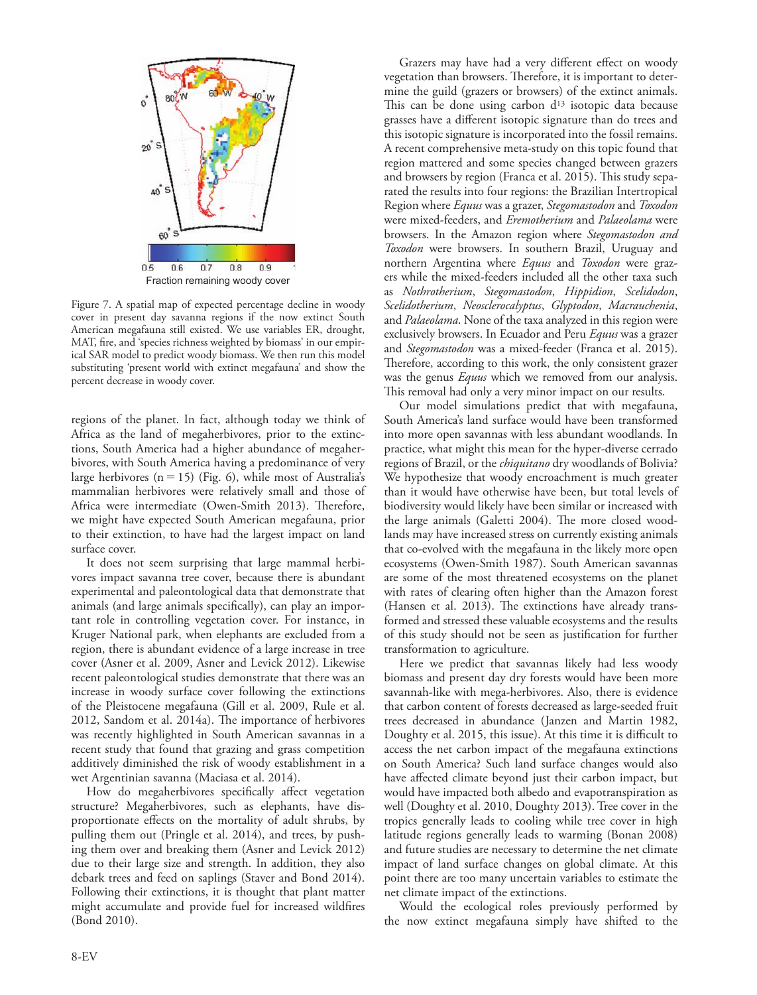

Fraction remaining woody cover

 Figure 7. A spatial map of expected percentage decline in woody cover in present day savanna regions if the now extinct South American megafauna still existed. We use variables ER, drought, MAT, fire, and 'species richness weighted by biomass' in our empirical SAR model to predict woody biomass. We then run this model substituting 'present world with extinct megafauna' and show the percent decrease in woody cover.

regions of the planet. In fact, although today we think of Africa as the land of megaherbivores, prior to the extinctions, South America had a higher abundance of megaherbivores, with South America having a predominance of very large herbivores ( $n = 15$ ) (Fig. 6), while most of Australia's mammalian herbivores were relatively small and those of Africa were intermediate (Owen-Smith 2013). Therefore, we might have expected South American megafauna, prior to their extinction, to have had the largest impact on land surface cover.

 It does not seem surprising that large mammal herbivores impact savanna tree cover, because there is abundant experimental and paleontological data that demonstrate that animals (and large animals specifically), can play an important role in controlling vegetation cover. For instance, in Kruger National park, when elephants are excluded from a region, there is abundant evidence of a large increase in tree cover (Asner et al. 2009, Asner and Levick 2012). Likewise recent paleontological studies demonstrate that there was an increase in woody surface cover following the extinctions of the Pleistocene megafauna (Gill et al. 2009, Rule et al. 2012, Sandom et al. 2014a). The importance of herbivores was recently highlighted in South American savannas in a recent study that found that grazing and grass competition additively diminished the risk of woody establishment in a wet Argentinian savanna (Maciasa et al. 2014).

How do megaherbivores specifically affect vegetation structure? Megaherbivores, such as elephants, have disproportionate effects on the mortality of adult shrubs, by pulling them out (Pringle et al. 2014), and trees, by pushing them over and breaking them (Asner and Levick 2012) due to their large size and strength. In addition, they also debark trees and feed on saplings (Staver and Bond 2014). Following their extinctions, it is thought that plant matter might accumulate and provide fuel for increased wildfires (Bond 2010).

Grazers may have had a very different effect on woody vegetation than browsers. Therefore, it is important to determine the guild (grazers or browsers) of the extinct animals. This can be done using carbon  $d^{13}$  isotopic data because grasses have a different isotopic signature than do trees and this isotopic signature is incorporated into the fossil remains. A recent comprehensive meta-study on this topic found that region mattered and some species changed between grazers and browsers by region (Franca et al. 2015). This study separated the results into four regions: the Brazilian Intertropical Region where *Equus* was a grazer, *Stegomastodon* and *Toxodon* were mixed-feeders, and *Eremotherium* and *Palaeolama* were browsers. In the Amazon region where *Stegomastodon and Toxodon* were browsers. In southern Brazil, Uruguay and northern Argentina where *Equus* and *Toxodon* were grazers while the mixed-feeders included all the other taxa such as *Nothrotherium* , *Stegomastodon* , *Hippidion* , *Scelidodon* , *Scelidotherium* , *Neosclerocalyptus* , *Glyptodon* , *Macrauchenia* , and *Palaeolama* . None of the taxa analyzed in this region were exclusively browsers. In Ecuador and Peru *Equus* was a grazer and *Stegomastodon* was a mixed-feeder (Franca et al. 2015). Therefore, according to this work, the only consistent grazer was the genus *Equus* which we removed from our analysis. This removal had only a very minor impact on our results.

 Our model simulations predict that with megafauna, South America's land surface would have been transformed into more open savannas with less abundant woodlands. In practice, what might this mean for the hyper-diverse cerrado regions of Brazil, or the *chiquitano* dry woodlands of Bolivia? We hypothesize that woody encroachment is much greater than it would have otherwise have been, but total levels of biodiversity would likely have been similar or increased with the large animals (Galetti 2004). The more closed woodlands may have increased stress on currently existing animals that co-evolved with the megafauna in the likely more open ecosystems (Owen-Smith 1987). South American savannas are some of the most threatened ecosystems on the planet with rates of clearing often higher than the Amazon forest (Hansen et al. 2013). The extinctions have already transformed and stressed these valuable ecosystems and the results of this study should not be seen as justification for further transformation to agriculture.

 Here we predict that savannas likely had less woody biomass and present day dry forests would have been more savannah-like with mega-herbivores. Also, there is evidence that carbon content of forests decreased as large-seeded fruit trees decreased in abundance (Janzen and Martin 1982, Doughty et al. 2015, this issue). At this time it is difficult to access the net carbon impact of the megafauna extinctions on South America? Such land surface changes would also have affected climate beyond just their carbon impact, but would have impacted both albedo and evapotranspiration as well (Doughty et al. 2010, Doughty 2013). Tree cover in the tropics generally leads to cooling while tree cover in high latitude regions generally leads to warming (Bonan 2008) and future studies are necessary to determine the net climate impact of land surface changes on global climate. At this point there are too many uncertain variables to estimate the net climate impact of the extinctions.

 Would the ecological roles previously performed by the now extinct megafauna simply have shifted to the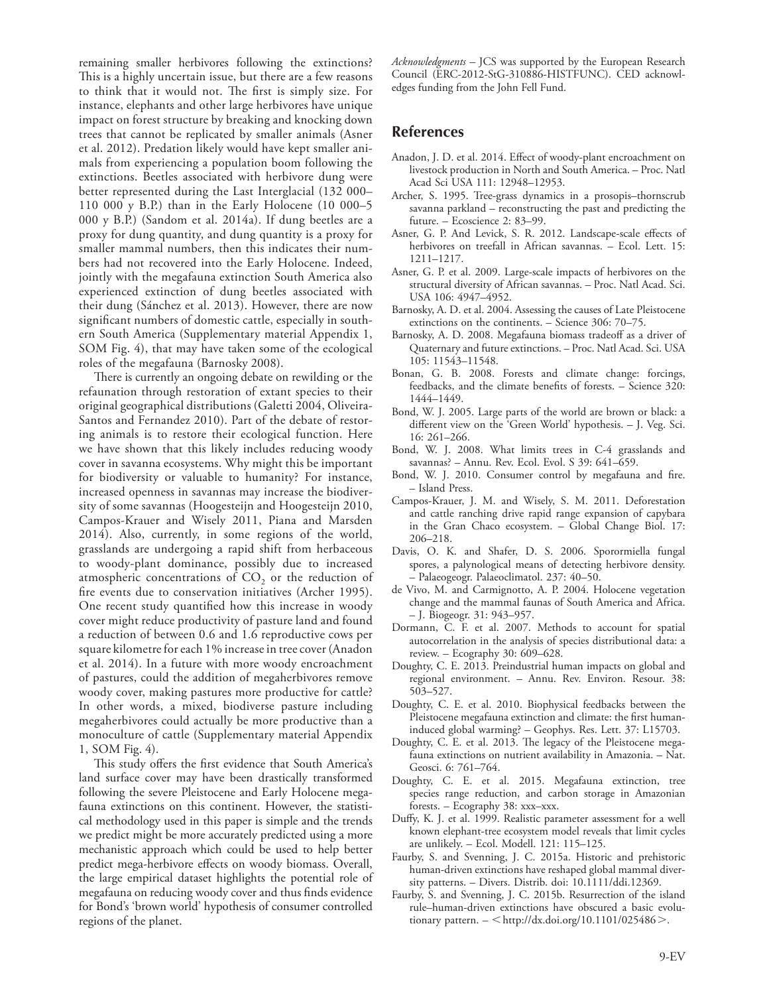remaining smaller herbivores following the extinctions? This is a highly uncertain issue, but there are a few reasons to think that it would not. The first is simply size. For instance, elephants and other large herbivores have unique impact on forest structure by breaking and knocking down trees that cannot be replicated by smaller animals (Asner et al. 2012). Predation likely would have kept smaller animals from experiencing a population boom following the extinctions. Beetles associated with herbivore dung were better represented during the Last Interglacial (132 000– 110 000 y B.P.) than in the Early Holocene (10 000-5 000 y B.P.) (Sandom et al. 2014a). If dung beetles are a proxy for dung quantity, and dung quantity is a proxy for smaller mammal numbers, then this indicates their numbers had not recovered into the Early Holocene. Indeed, jointly with the megafauna extinction South America also experienced extinction of dung beetles associated with their dung (Sánchez et al. 2013). However, there are now significant numbers of domestic cattle, especially in southern South America (Supplementary material Appendix 1, SOM Fig. 4), that may have taken some of the ecological roles of the megafauna (Barnosky 2008).

There is currently an ongoing debate on rewilding or the refaunation through restoration of extant species to their original geographical distributions (Galetti 2004, Oliveira-Santos and Fernandez 2010). Part of the debate of restoring animals is to restore their ecological function. Here we have shown that this likely includes reducing woody cover in savanna ecosystems. Why might this be important for biodiversity or valuable to humanity? For instance, increased openness in savannas may increase the biodiversity of some savannas (Hoogesteijn and Hoogesteijn 2010, Campos-Krauer and Wisely 2011, Piana and Marsden 2014). Also, currently, in some regions of the world, grasslands are undergoing a rapid shift from herbaceous to woody-plant dominance, possibly due to increased atmospheric concentrations of  $CO<sub>2</sub>$  or the reduction of fire events due to conservation initiatives (Archer 1995). One recent study quantified how this increase in woody cover might reduce productivity of pasture land and found a reduction of between 0.6 and 1.6 reproductive cows per square kilometre for each 1% increase in tree cover (Anadon et al. 2014). In a future with more woody encroachment of pastures, could the addition of megaherbivores remove woody cover, making pastures more productive for cattle? In other words, a mixed, biodiverse pasture including megaherbivores could actually be more productive than a monoculture of cattle (Supplementary material Appendix 1, SOM Fig. 4).

This study offers the first evidence that South America's land surface cover may have been drastically transformed following the severe Pleistocene and Early Holocene megafauna extinctions on this continent. However, the statistical methodology used in this paper is simple and the trends we predict might be more accurately predicted using a more mechanistic approach which could be used to help better predict mega-herbivore effects on woody biomass. Overall, the large empirical dataset highlights the potential role of megafauna on reducing woody cover and thus finds evidence for Bond's 'brown world' hypothesis of consumer controlled regions of the planet.

 *Acknowledgments –* JCS was supported by the European Research Council (ERC-2012-StG-310886-HISTFUNC). CED acknowledges funding from the John Fell Fund.

## **References**

- Anadon, J. D. et al. 2014. Effect of woody-plant encroachment on livestock production in North and South America. – Proc. Natl Acad Sci USA 111: 12948-12953.
- Archer, S. 1995. Tree-grass dynamics in a prosopis-thornscrub savanna parkland – reconstructing the past and predicting the future. – Ecoscience 2: 83–99.
- Asner, G. P. And Levick, S. R. 2012. Landscape-scale effects of herbivores on treefall in African savannas. – Ecol. Lett. 15: 1211 – 1217.
- Asner, G. P. et al. 2009. Large-scale impacts of herbivores on the structural diversity of African savannas. – Proc. Natl Acad. Sci. USA 106: 4947-4952.
- Barnosky, A. D. et al. 2004. Assessing the causes of Late Pleistocene extinctions on the continents.  $-$  Science 306: 70–75.
- Barnosky, A. D. 2008. Megafauna biomass tradeoff as a driver of Quaternary and future extinctions. – Proc. Natl Acad. Sci. USA 105: 11543-11548.
- Bonan, G. B. 2008. Forests and climate change: forcings, feedbacks, and the climate benefits of forests. - Science 320: 1444 – 1449.
- Bond, W. J. 2005. Large parts of the world are brown or black: a different view on the 'Green World' hypothesis. - J. Veg. Sci. 16: 261-266.
- Bond, W. J. 2008. What limits trees in C-4 grasslands and savannas? - Annu. Rev. Ecol. Evol. S 39: 641-659.
- Bond, W. J. 2010. Consumer control by megafauna and fire. – Island Press.
- Campos-Krauer, J. M. and Wisely, S. M. 2011. Deforestation and cattle ranching drive rapid range expansion of capybara in the Gran Chaco ecosystem. – Global Change Biol. 17: 206 – 218.
- Davis, O. K. and Shafer, D. S. 2006. Sporormiella fungal spores, a palynological means of detecting herbivore density. – Palaeogeogr. Palaeoclimatol. 237: 40 – 50.
- de Vivo, M. and Carmignotto, A. P. 2004. Holocene vegetation change and the mammal faunas of South America and Africa. – J. Biogeogr. 31: 943 – 957.
- Dormann, C. F. et al. 2007. Methods to account for spatial autocorrelation in the analysis of species distributional data: a review. – Ecography 30:  $609 - 628$ .
- Doughty, C. E. 2013. Preindustrial human impacts on global and regional environment. – Annu. Rev. Environ. Resour. 38: 503 – 527.
- Doughty, C. E. et al. 2010. Biophysical feedbacks between the Pleistocene megafauna extinction and climate: the first humaninduced global warming? – Geophys. Res. Lett. 37: L15703.
- Doughty, C. E. et al. 2013. The legacy of the Pleistocene megafauna extinctions on nutrient availability in Amazonia. – Nat. Geosci. 6: 761–764.
- Doughty, C. E. et al. 2015. Megafauna extinction, tree species range reduction, and carbon storage in Amazonian forests. – Ecography 38: xxx-xxx.
- Duffy, K. J. et al. 1999. Realistic parameter assessment for a well known elephant-tree ecosystem model reveals that limit cycles are unlikely. - Ecol. Modell. 121: 115-125.
- Faurby, S. and Svenning, J. C. 2015a. Historic and prehistoric human-driven extinctions have reshaped global mammal diversity patterns. – Divers. Distrib. doi: 10.1111/ddi.12369.
- Faurby, S. and Svenning, J. C. 2015b. Resurrection of the island rule-human-driven extinctions have obscured a basic evolutionary pattern.  $-$  < http://dx.doi.org/10.1101/025486 >.